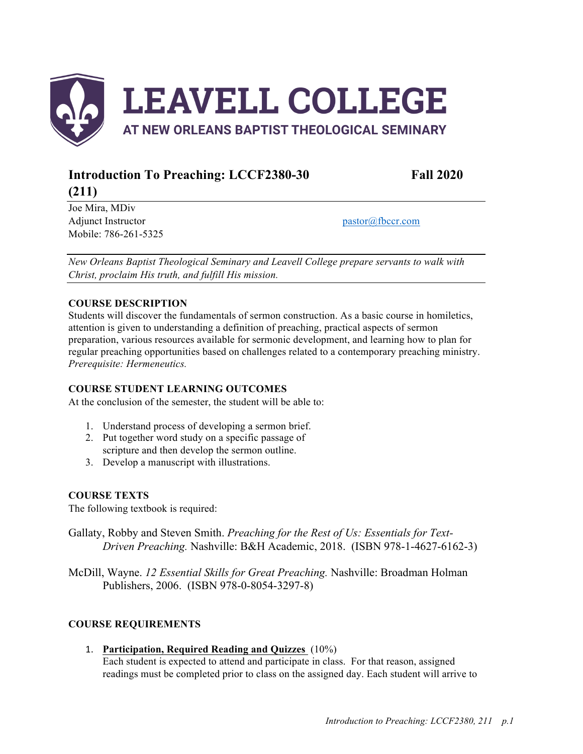

# **Introduction To Preaching: LCCF2380-30 Fall 2020**

Joe Mira, MDiv Adjunct Instructor pastor  $\omega$  fbccr.com Mobile: 786-261-5325

**(211)**

*New Orleans Baptist Theological Seminary and Leavell College prepare servants to walk with Christ, proclaim His truth, and fulfill His mission.*

# **COURSE DESCRIPTION**

Students will discover the fundamentals of sermon construction. As a basic course in homiletics, attention is given to understanding a definition of preaching, practical aspects of sermon preparation, various resources available for sermonic development, and learning how to plan for regular preaching opportunities based on challenges related to a contemporary preaching ministry. *Prerequisite: Hermeneutics.*

# **COURSE STUDENT LEARNING OUTCOMES**

At the conclusion of the semester, the student will be able to:

- 1. Understand process of developing a sermon brief.
- 2. Put together word study on a specific passage of scripture and then develop the sermon outline.
- 3. Develop a manuscript with illustrations.

# **COURSE TEXTS**

The following textbook is required:

Gallaty, Robby and Steven Smith. *Preaching for the Rest of Us: Essentials for Text-Driven Preaching.* Nashville: B&H Academic, 2018. (ISBN 978-1-4627-6162-3)

McDill, Wayne. *12 Essential Skills for Great Preaching.* Nashville: Broadman Holman Publishers, 2006. (ISBN 978-0-8054-3297-8)

# **COURSE REQUIREMENTS**

# 1. **Participation, Required Reading and Quizzes** (10%)

Each student is expected to attend and participate in class. For that reason, assigned readings must be completed prior to class on the assigned day. Each student will arrive to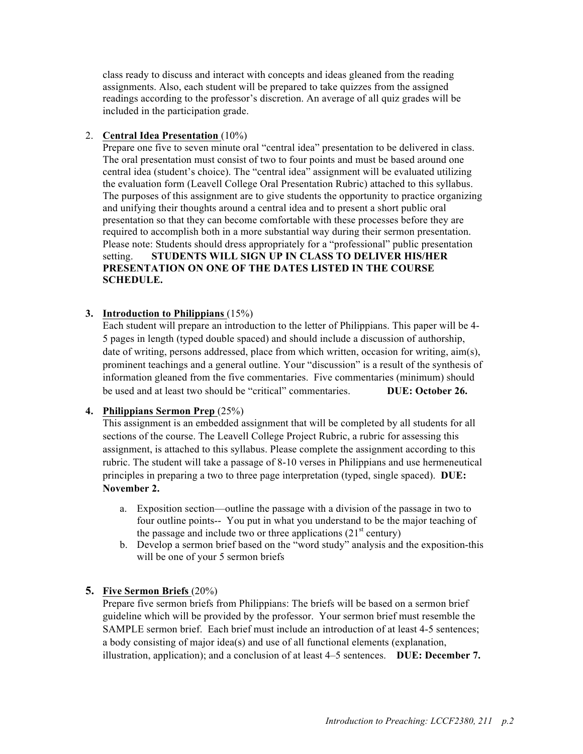class ready to discuss and interact with concepts and ideas gleaned from the reading assignments. Also, each student will be prepared to take quizzes from the assigned readings according to the professor's discretion. An average of all quiz grades will be included in the participation grade.

## 2. **Central Idea Presentation** (10%)

Prepare one five to seven minute oral "central idea" presentation to be delivered in class. The oral presentation must consist of two to four points and must be based around one central idea (student's choice). The "central idea" assignment will be evaluated utilizing the evaluation form (Leavell College Oral Presentation Rubric) attached to this syllabus. The purposes of this assignment are to give students the opportunity to practice organizing and unifying their thoughts around a central idea and to present a short public oral presentation so that they can become comfortable with these processes before they are required to accomplish both in a more substantial way during their sermon presentation. Please note: Students should dress appropriately for a "professional" public presentation setting. **STUDENTS WILL SIGN UP IN CLASS TO DELIVER HIS/HER PRESENTATION ON ONE OF THE DATES LISTED IN THE COURSE SCHEDULE.**

## **3. Introduction to Philippians** (15%)

Each student will prepare an introduction to the letter of Philippians. This paper will be 4- 5 pages in length (typed double spaced) and should include a discussion of authorship, date of writing, persons addressed, place from which written, occasion for writing, aim(s), prominent teachings and a general outline. Your "discussion" is a result of the synthesis of information gleaned from the five commentaries. Five commentaries (minimum) should be used and at least two should be "critical" commentaries. **DUE: October 26.** 

#### **4. Philippians Sermon Prep** (25%)

This assignment is an embedded assignment that will be completed by all students for all sections of the course. The Leavell College Project Rubric, a rubric for assessing this assignment, is attached to this syllabus. Please complete the assignment according to this rubric. The student will take a passage of 8-10 verses in Philippians and use hermeneutical principles in preparing a two to three page interpretation (typed, single spaced). **DUE: November 2.** 

- a. Exposition section—outline the passage with a division of the passage in two to four outline points-- You put in what you understand to be the major teaching of the passage and include two or three applications  $(21<sup>st</sup> century)$
- b. Develop a sermon brief based on the "word study" analysis and the exposition-this will be one of your 5 sermon briefs

# **5. Five Sermon Briefs** (20%)

Prepare five sermon briefs from Philippians: The briefs will be based on a sermon brief guideline which will be provided by the professor. Your sermon brief must resemble the SAMPLE sermon brief. Each brief must include an introduction of at least 4-5 sentences; a body consisting of major idea(s) and use of all functional elements (explanation, illustration, application); and a conclusion of at least 4–5 sentences. **DUE: December 7.**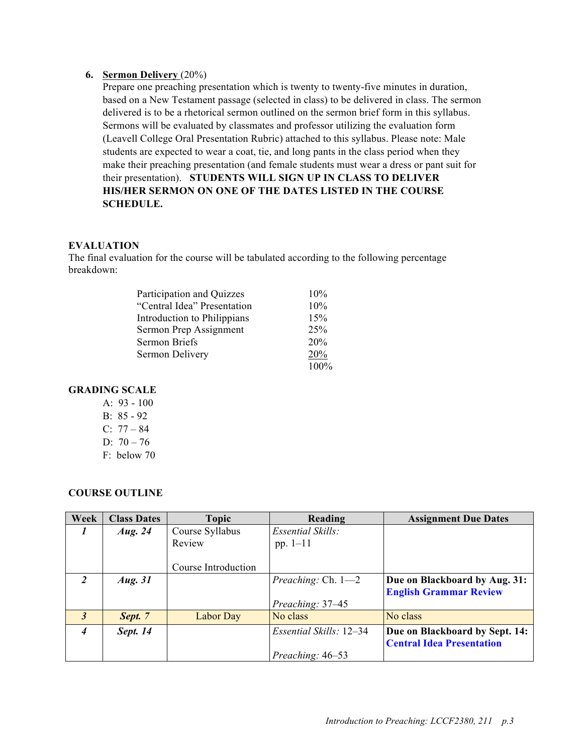#### **6. Sermon Delivery** (20%)

Prepare one preaching presentation which is twenty to twenty-five minutes in duration, based on a New Testament passage (selected in class) to be delivered in class. The sermon delivered is to be a rhetorical sermon outlined on the sermon brief form in this syllabus. Sermons will be evaluated by classmates and professor utilizing the evaluation form (Leavell College Oral Presentation Rubric) attached to this syllabus. Please note: Male students are expected to wear a coat, tie, and long pants in the class period when they make their preaching presentation (and female students must wear a dress or pant suit for their presentation). **STUDENTS WILL SIGN UP IN CLASS TO DELIVER HIS/HER SERMON ON ONE OF THE DATES LISTED IN THE COURSE SCHEDULE.**

#### **EVALUATION**

The final evaluation for the course will be tabulated according to the following percentage breakdown:

| Participation and Quizzes   | 10%  |
|-----------------------------|------|
| "Central Idea" Presentation | 10%  |
| Introduction to Philippians | 15%  |
| Sermon Prep Assignment      | 25%  |
| Sermon Briefs               | 20%  |
| Sermon Delivery             | 20%  |
|                             | 100% |

## **GRADING SCALE**

- A:  $93 100$ B: 85 - 92 C:  $77 - 84$
- D:  $70 76$
- F: below 70

#### **COURSE OUTLINE**

| Week                 | <b>Class Dates</b> | Topic               | Reading                     | <b>Assignment Due Dates</b>      |
|----------------------|--------------------|---------------------|-----------------------------|----------------------------------|
| $\prime$             | Aug. $24$          | Course Syllabus     | <b>Essential Skills:</b>    |                                  |
|                      |                    | Review              | pp. $1 - 11$                |                                  |
|                      |                    |                     |                             |                                  |
|                      |                    | Course Introduction |                             |                                  |
| 2                    | Aug. $31$          |                     | <i>Preaching:</i> Ch. $1-2$ | Due on Blackboard by Aug. 31:    |
|                      |                    |                     |                             | <b>English Grammar Review</b>    |
|                      |                    |                     | Preaching: 37-45            |                                  |
| $\boldsymbol{\beta}$ | Sept. 7            | Labor Day           | No class                    | No class                         |
| $\overline{4}$       | Sept. 14           |                     | Essential Skills: 12–34     | Due on Blackboard by Sept. 14:   |
|                      |                    |                     |                             | <b>Central Idea Presentation</b> |
|                      |                    |                     | Preaching: 46-53            |                                  |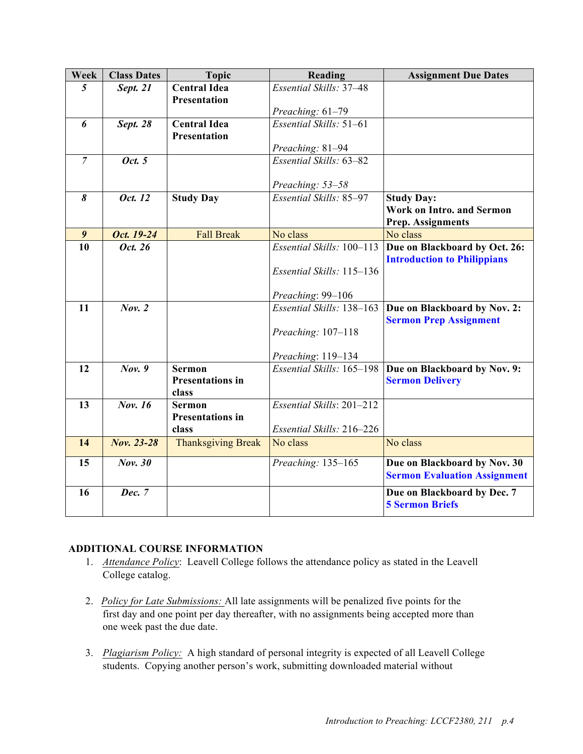| Week             | <b>Class Dates</b> | <b>Topic</b>                               | Reading                   | <b>Assignment Due Dates</b>                                         |
|------------------|--------------------|--------------------------------------------|---------------------------|---------------------------------------------------------------------|
| 5                | Sept. 21           | <b>Central Idea</b>                        | Essential Skills: 37-48   |                                                                     |
|                  |                    | <b>Presentation</b>                        |                           |                                                                     |
|                  |                    |                                            | Preaching: 61-79          |                                                                     |
| 6                | <b>Sept. 28</b>    | <b>Central Idea</b><br><b>Presentation</b> | Essential Skills: 51-61   |                                                                     |
|                  |                    |                                            | Preaching: 81-94          |                                                                     |
| $\overline{7}$   | Oct. 5             |                                            | Essential Skills: 63-82   |                                                                     |
|                  |                    |                                            |                           |                                                                     |
|                  |                    |                                            | Preaching: 53-58          |                                                                     |
| 8                | Oct. 12            | <b>Study Day</b>                           | Essential Skills: 85-97   | <b>Study Day:</b>                                                   |
|                  |                    |                                            |                           | <b>Work on Intro. and Sermon</b>                                    |
|                  |                    |                                            |                           | <b>Prep. Assignments</b>                                            |
| $\boldsymbol{9}$ | Oct. 19-24         | <b>Fall Break</b>                          | No class                  | No class                                                            |
| 10               | Oct. 26            |                                            | Essential Skills: 100-113 | Due on Blackboard by Oct. 26:                                       |
|                  |                    |                                            |                           | <b>Introduction to Philippians</b>                                  |
|                  |                    |                                            | Essential Skills: 115-136 |                                                                     |
|                  |                    |                                            | Preaching: 99-106         |                                                                     |
| 11               | Nov. 2             |                                            | Essential Skills: 138-163 | Due on Blackboard by Nov. 2:                                        |
|                  |                    |                                            |                           | <b>Sermon Prep Assignment</b>                                       |
|                  |                    |                                            | Preaching: 107-118        |                                                                     |
|                  |                    |                                            |                           |                                                                     |
|                  |                    |                                            | Preaching: 119-134        |                                                                     |
| 12               | Nov. 9             | <b>Sermon</b>                              | Essential Skills: 165-198 | Due on Blackboard by Nov. 9:                                        |
|                  |                    | <b>Presentations in</b>                    |                           | <b>Sermon Delivery</b>                                              |
| 13               | Nov. 16            | class<br><b>Sermon</b>                     | Essential Skills: 201-212 |                                                                     |
|                  |                    | <b>Presentations in</b>                    |                           |                                                                     |
|                  |                    | class                                      | Essential Skills: 216-226 |                                                                     |
| 14               | Nov. 23-28         | <b>Thanksgiving Break</b>                  | No class                  | No class                                                            |
|                  |                    |                                            |                           |                                                                     |
| 15               | Nov. 30            |                                            | Preaching: 135-165        | Due on Blackboard by Nov. 30<br><b>Sermon Evaluation Assignment</b> |
| 16               | <b>Dec.</b> 7      |                                            |                           | Due on Blackboard by Dec. 7<br><b>5 Sermon Briefs</b>               |

# **ADDITIONAL COURSE INFORMATION**

- 1. *Attendance Policy*: Leavell College follows the attendance policy as stated in the Leavell College catalog.
- 2. *Policy for Late Submissions:* All late assignments will be penalized five points for the first day and one point per day thereafter, with no assignments being accepted more than one week past the due date.
- 3. *Plagiarism Policy:* A high standard of personal integrity is expected of all Leavell College students. Copying another person's work, submitting downloaded material without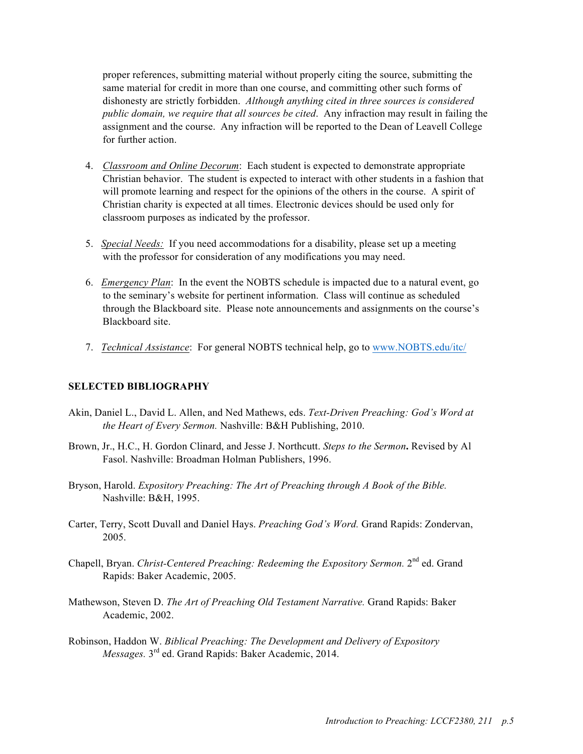proper references, submitting material without properly citing the source, submitting the same material for credit in more than one course, and committing other such forms of dishonesty are strictly forbidden. *Although anything cited in three sources is considered public domain, we require that all sources be cited*. Any infraction may result in failing the assignment and the course. Any infraction will be reported to the Dean of Leavell College for further action.

- 4. *Classroom and Online Decorum*: Each student is expected to demonstrate appropriate Christian behavior. The student is expected to interact with other students in a fashion that will promote learning and respect for the opinions of the others in the course. A spirit of Christian charity is expected at all times. Electronic devices should be used only for classroom purposes as indicated by the professor.
- 5. *Special Needs:* If you need accommodations for a disability, please set up a meeting with the professor for consideration of any modifications you may need.
- 6. *Emergency Plan*: In the event the NOBTS schedule is impacted due to a natural event, go to the seminary's website for pertinent information. Class will continue as scheduled through the Blackboard site. Please note announcements and assignments on the course's Blackboard site.
- 7. *Technical Assistance*: For general NOBTS technical help, go to www.NOBTS.edu/itc/

#### **SELECTED BIBLIOGRAPHY**

- Akin, Daniel L., David L. Allen, and Ned Mathews, eds. *Text-Driven Preaching: God's Word at the Heart of Every Sermon.* Nashville: B&H Publishing, 2010.
- Brown, Jr., H.C., H. Gordon Clinard, and Jesse J. Northcutt. *Steps to the Sermon***.** Revised by Al Fasol. Nashville: Broadman Holman Publishers, 1996.
- Bryson, Harold. *Expository Preaching: The Art of Preaching through A Book of the Bible.* Nashville: B&H, 1995.
- Carter, Terry, Scott Duvall and Daniel Hays. *Preaching God's Word.* Grand Rapids: Zondervan, 2005.
- Chapell, Bryan. *Christ-Centered Preaching: Redeeming the Expository Sermon.* 2<sup>nd</sup> ed. Grand Rapids: Baker Academic, 2005.
- Mathewson, Steven D. *The Art of Preaching Old Testament Narrative.* Grand Rapids: Baker Academic, 2002.
- Robinson, Haddon W. *Biblical Preaching: The Development and Delivery of Expository Messages.* 3rd ed. Grand Rapids: Baker Academic, 2014.